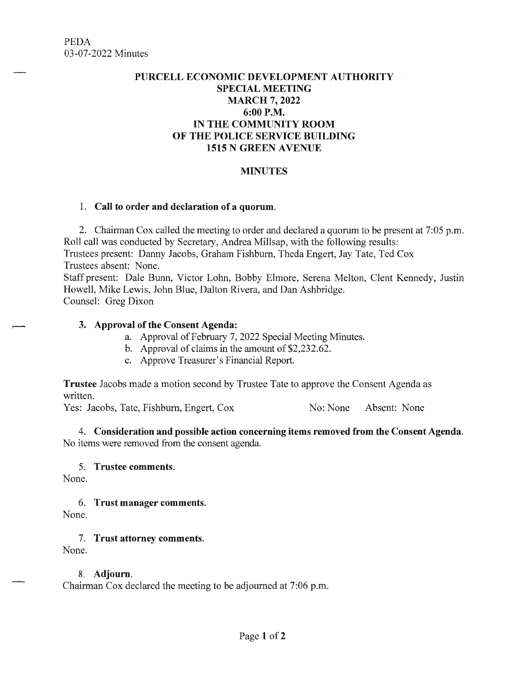# **PURCELL ECONOMIC DEVELOPMENT AUTHORITY SPECIAL MEETING MARCH 7, 2022 6:00P.M. IN THE COMMUNITY ROOM OF THE POLICE SERVICE BUILDING 1515 N GREEN A VENUE**

## **MINUTES**

#### 1. **Call to order and declaration of a quorum.**

2. Chairman Cox called the meeting to order and declared a quorum to be present at 7:05 p.m. Roll call was conducted by Secretary, Andrea Millsap, with the following results: Trustees present: Danny Jacobs, Graham Fishburn, Theda Engert, Jay Tate, Ted Cox Trustees absent: None.

Staff present: Dale Bunn, Victor Lohn, Bobby Elmore, Serena Melton, Clent Kennedy, Justin Howell, Mike Lewis, John Blue, Dalton Rivera, and Dan Ashbridge. Counsel: Greg Dixon

### **3. Approval of the Consent Agenda:**

- a. Approval of February 7, 2022 Special Meeting Minutes.
- b. Approval of claims in the amount of \$2,232.62.
- c. Approve Treasurer's Financial Report.

**Trustee** Jacobs made a motion second by Trustee Tate to approve the Consent Agenda as written.

Yes: Jacobs, Tate, Fishburn, Engert, Cox No: None Absent: None

**4. Consideration and possible action concerning items removed from the Consent Agenda.**  No items were removed from the consent agenda.

### 5. **Trustee comments.**

None.

### 6. **Trust manager comments.**

None.

7. **Trust attorney comments.** 

None.

### 8. **Adjourn.**

Chairman Cox declared the meeting to be adjourned at 7:06 p.m.